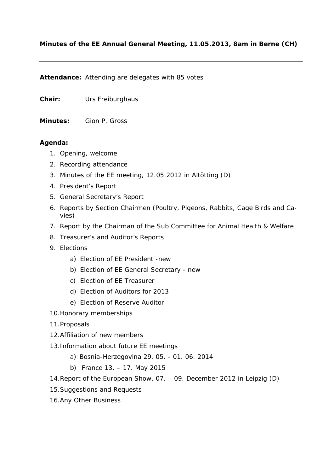### **Minutes of the EE Annual General Meeting, 11.05.2013, 8am in Berne (CH)**

**Attendance:** Attending are delegates with 85 votes

**Chair:** Urs Freiburghaus

**Minutes:** Gion P. Gross

#### **Agenda:**

- 1. Opening, welcome
- 2. Recording attendance
- 3. Minutes of the EE meeting, 12.05.2012 in Altötting (D)
- 4. President's Report
- 5. General Secretary's Report
- 6. Reports by Section Chairmen (Poultry, Pigeons, Rabbits, Cage Birds and Cavies)
- 7. Report by the Chairman of the Sub Committee for Animal Health & Welfare
- 8. Treasurer's and Auditor's Reports
- 9. Elections
	- a) Election of EE President -new
	- b) Election of EE General Secretary new
	- c) Election of EE Treasurer
	- d) Election of Auditors for 2013
	- e) Election of Reserve Auditor
- 10.Honorary memberships
- 11.Proposals
- 12.Affiliation of new members
- 13.Information about future EE meetings
	- a) Bosnia-Herzegovina 29. 05. 01. 06. 2014
	- b) France 13. 17. May 2015
- 14.Report of the European Show, 07. 09. December 2012 in Leipzig (D)
- 15.Suggestions and Requests
- 16.Any Other Business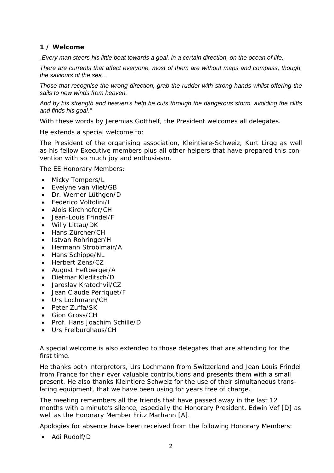### **1 / Welcome**

*"Every man steers his little boat towards a goal, in a certain direction, on the ocean of life.* 

*There are currents that affect everyone, most of them are without maps and compass, though, the saviours of the sea...* 

*Those that recognise the wrong direction, grab the rudder with strong hands whilst offering the sails to new winds from heaven.* 

*And by his strength and heaven's help he cuts through the dangerous storm, avoiding the cliffs and finds his goal."* 

With these words by Jeremias Gotthelf, the President welcomes all delegates.

He extends a special welcome to:

The President of the organising association, Kleintiere-Schweiz, Kurt Lirgg as well as his fellow Executive members plus all other helpers that have prepared this convention with so much joy and enthusiasm.

The EE Honorary Members:

- Micky Tompers/L
- Evelyne van Vliet/GB
- Dr. Werner Lüthgen/D
- Federico Voltolini/I
- Alois Kirchhofer/CH
- Jean-Louis Frindel/F
- Willy Littau/DK
- Hans Zürcher/CH
- Istvan Rohringer/H
- Hermann Stroblmair/A
- Hans Schippe/NL
- Herbert Zens/CZ
- August Heftberger/A
- Dietmar Kleditsch/D
- Jaroslav Kratochvil/CZ
- Jean Claude Perriquet/F
- $\bullet$  Urs Lochmann/CH
- Peter Zuffa/SK
- Gion Gross/CH
- Prof. Hans Joachim Schille/D
- Urs Freiburghaus/CH

A special welcome is also extended to those delegates that are attending for the first time.

He thanks both interpretors, Urs Lochmann from Switzerland and Jean Louis Frindel from France for their ever valuable contributions and presents them with a small present. He also thanks Kleintiere Schweiz for the use of their simultaneous translating equipment, that we have been using for years free of charge.

The meeting remembers all the friends that have passed away in the last 12 months with a minute's silence, especially the Honorary President, Edwin Vef [D] as well as the Honorary Member Fritz Marhann [A].

Apologies for absence have been received from the following Honorary Members:

Adi Rudolf/D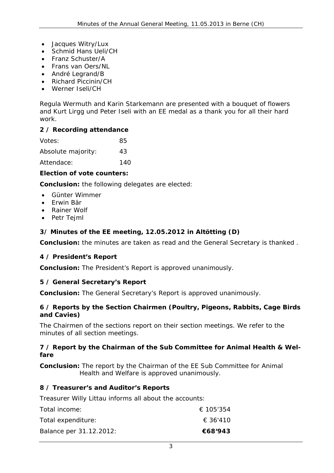- Jacques Witry/Lux
- Schmid Hans Ueli/CH
- Franz Schuster/A
- Frans van Oers/NL
- André Legrand/B
- Richard Piccinin/CH
- Werner Iseli/CH

Regula Wermuth and Karin Starkemann are presented with a bouquet of flowers and Kurt Lirgg und Peter Iseli with an EE medal as a thank you for all their hard work.

### **2 / Recording attendance**

| Votes:             | 85  |
|--------------------|-----|
| Absolute majority: | 43  |
| Attendace:         | 140 |

### **Election of vote counters:**

*Conclusion: the following delegates are elected:*

- Günter Wimmer
- Erwin Bär
- Rainer Wolf
- Petr Tejml

# **3/ Minutes of the EE meeting, 12.05.2012 in Altötting (D)**

*Conclusion: the minutes are taken as read and the General Secretary is thanked .* 

# **4 / President's Report**

*Conclusion: The President's Report is approved unanimously.* 

# **5 / General Secretary's Report**

*Conclusion: The General Secretary's Report is approved unanimously.* 

### **6 / Reports by the Section Chairmen (Poultry, Pigeons, Rabbits, Cage Birds and Cavies)**

The Chairmen of the sections report on their section meetings. We refer to the minutes of all section meetings.

### **7 / Report by the Chairman of the Sub Committee for Animal Health & Welfare**

*Conclusion: The report by the Chairman of the EE Sub Committee for Animal Health and Welfare is approved unanimously.* 

# **8 / Treasurer's and Auditor's Reports**

Treasurer Willy Littau informs all about the accounts:

| Total income:           | € 105'354 |
|-------------------------|-----------|
| Total expenditure:      | € 36'410  |
| Balance per 31.12.2012: | €68′943   |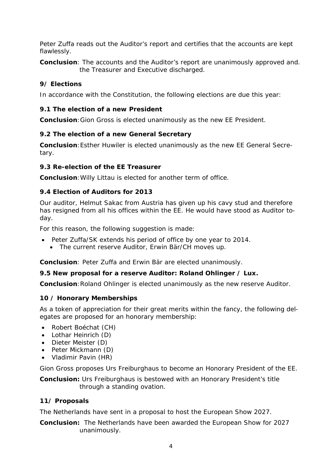Peter Zuffa reads out the Auditor's report and certifies that the accounts are kept flawlessly.

*Conclusion: The accounts and the Auditor's report are unanimously approved and. the Treasurer and Executive discharged.* 

### **9/ Elections**

In accordance with the Constitution, the following elections are due this year:

### **9.1 The election of a new President**

*Conclusion:Gion Gross is elected unanimously as the new EE President.* 

### **9.2 The election of a new General Secretary**

*Conclusion:Esther Huwiler is elected unanimously as the new EE General Secretary.* 

#### **9.3 Re-election of the EE Treasurer**

*Conclusion:Willy Littau is elected for another term of office.*

### **9.4 Election of Auditors for 2013**

Our auditor, Helmut Sakac from Austria has given up his cavy stud and therefore has resigned from all his offices within the EE. He would have stood as Auditor today.

For this reason, the following suggestion is made:

- Peter Zuffa/SK extends his period of office by one year to 2014.
	- The current reserve Auditor, Erwin Bär/CH moves up.

*Conclusion: Peter Zuffa and Erwin Bär are elected unanimously.* 

### **9.5 New proposal for a reserve Auditor: Roland Ohlinger / Lux.**

*Conclusion:Roland Ohlinger is elected unanimously as the new reserve Auditor.* 

### **10 / Honorary Memberships**

As a token of appreciation for their great merits within the fancy, the following delegates are proposed for an honorary membership:

- Robert Boéchat (CH)
- Lothar Heinrich (D)
- Dieter Meister (D)
- Peter Mickmann (D)
- Vladimir Pavin (HR)

Gion Gross proposes Urs Freiburghaus to become an Honorary President of the EE.

*Conclusion: Urs Freiburghaus is bestowed with an Honorary President's title through a standing ovation.* 

### **11/ Proposals**

The Netherlands have sent in a proposal to host the European Show 2027.

*Conclusion: The Netherlands have been awarded the European Show for 2027 unanimously.*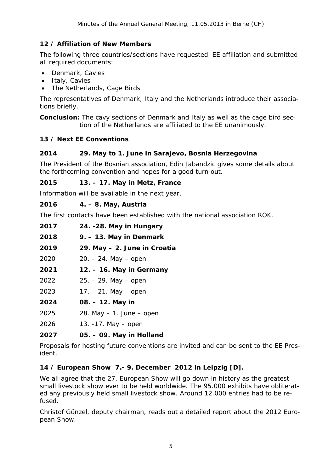# **12 / Affiliation of New Members**

The following three countries/sections have requested EE affiliation and submitted all required documents:

- Denmark, Cavies
- Italy, Cavies
- The Netherlands, Cage Birds

The representatives of Denmark, Italy and the Netherlands introduce their associations briefly.

*Conclusion: The cavy sections of Denmark and Italy as well as the cage bird section of the Netherlands are affiliated to the EE unanimously.* 

# **13 / Next EE Conventions**

# **2014 29. May to 1. June in Sarajevo, Bosnia Herzegovina**

The President of the Bosnian association, Edin Jabandzic gives some details about the forthcoming convention and hopes for a good turn out.

### **2015 13. – 17. May in Metz, France**

Information will be available in the next year.

# **2016 4. – 8. May, Austria**

The first contacts have been established with the national association RÖK.

| 2017 | 24. - 28. May in Hungary     |
|------|------------------------------|
| 2018 | 9. – 13. May in Denmark      |
| 2019 | 29. May - 2. June in Croatia |
| 2020 | $20. - 24.$ May $-$ open     |
| 2021 | 12. – 16. May in Germany     |
| 2022 | $25. - 29.$ May $-$ open     |
| 2023 | $17. - 21.$ May $-$ open     |
| 2024 | 08. – 12. May in             |
| 2025 | 28. May $-1$ . June $-$ open |
|      |                              |

2026 13. -17. May – open

# **2027 05. – 09. May in Holland**

Proposals for hosting future conventions are invited and can be sent to the EE President.

# **14 / European Show 7.- 9. December 2012 in Leipzig [D].**

We all agree that the 27. European Show will go down in history as the greatest small livestock show ever to be held worldwide. The 95.000 exhibits have obliterated any previously held small livestock show. Around 12.000 entries had to be refused.

Christof Günzel, deputy chairman, reads out a detailed report about the 2012 European Show.